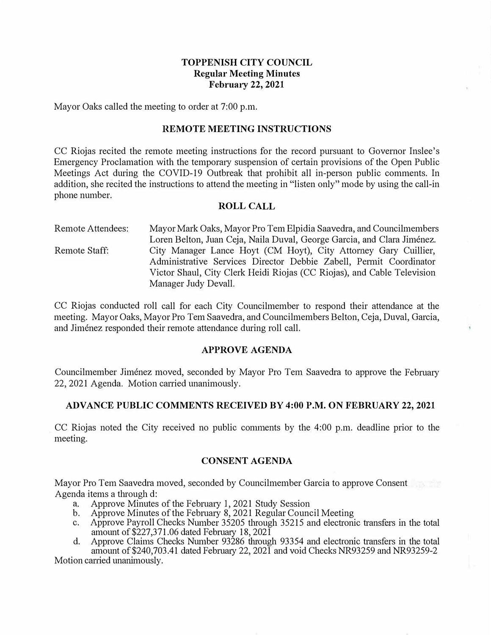# **TOPPENISH CITY COUNCIL Regular Meeting Minutes February 22, 2021**

Mayor Oaks called the meeting to order at 7:00 p.m.

#### **REMOTE MEETING INSTRUCTIONS**

CC Riojas recited the remote meeting instrnctions for the record pursuant to Governor Inslee's Emergency Proclamation with the temporary suspension of certain provisions of the Open Public Meetings Act during the COVID-19 Outbreak that prohibit all in-person public comments. In addition, she recited the instructions to attend the meeting in "listen only" mode by using the call-in phone number.

#### **ROLL CALL**

Remote Attendees: Remote Staff: Mayor Mark Oaks, Mayor Pro Tem Elpidia Saavedra, and Councilmembers Loren Belton, Juan Ceja, Naila Duval, George Garcia, and Clara Jiménez. City Manager Lance Hoyt (CM Hoyt), City Attorney Gary Cuillier, Administrative Services Director Debbie Zabell, Permit Coordinator Victor Shaul, City Clerk Heidi Riojas (CC Riojas), and Cable Television Manager Judy Devall.

CC Riojas conducted roll call for each City Councilmember to respond their attendance at the meeting. Mayor Oaks, Mayor Pro Tem Saavedra, and Councilmembers Belton, Ceja, Duval, Garcia, and Jimenez responded their remote attendance during roll call.

#### **APPROVE AGENDA**

Councilmember Jimenez moved, seconded by Mayor Pro Tern Saavedra to approve the February 22, 2021 Agenda. Motion carried unanimously.

#### **ADVANCE PUBLIC COMMENTS RECEIVED BY 4:00 P.M. ON FEBRUARY 22, 2021**

CC Riojas noted the City received no public conunents by the 4:00 p.m. deadline prior to the meeting.

#### **CONSENT AGENDA**

Mayor Pro Tern Saavedra moved, seconded by Councilmember Garcia to approve Consent Agenda items a through d:

- a. Approve Minutes of the February 1, 2021 Study Session
- b. Approve Minutes of the February 8, 2021 Regular Council Meeting
- c. Approve Payroll Checks Number 35205 through 35215 and electronic transfers in the total amount of  $$227,371.06$  dated February 18, 2021
- d. Approve Claims Checks Number 93286 through 93354 and electronic transfers in the total ainount of\$240,703.41 dated Februaiy 22, 2021 and void Checks NR93259 and NR93259-2

Motion carried unanimously.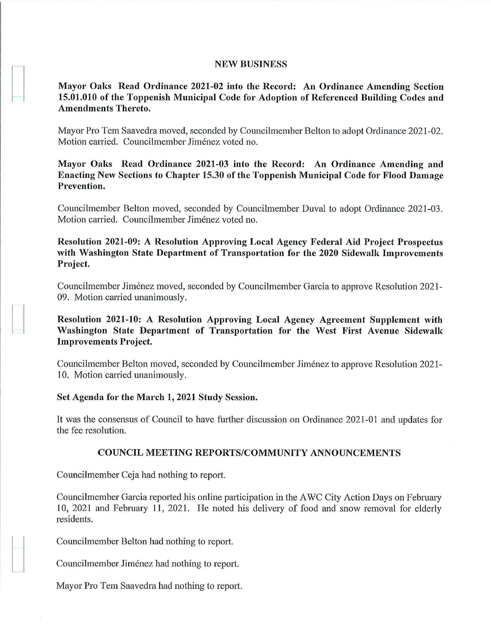#### **NEW BUSINESS**

# **Mayor Oaks Read Ordinance 2021-02 into the Record: An Ordinance Amending Section 15.01.010 of the Toppenish Municipal Code for Adoption of Referenced Building Codes and Amendments Thereto.**

Mayor Pro Tem Saavedra moved, seconded by Councilmember Belton to adopt Ordinance 2021-02. Motion carried. Councilmember Jiménez voted no.

**Mayor Oaks Read Ordinance 2021-03 into the Record: An Ordinance Amending and Enacting New Sections to Chapter 15.30 of the Toppenish Municipal Code for Flood Damage Prevention.** 

Councilmember Belton moved, seconded by Councilmember Duval to adopt Ordinance 2021-03. Motion carried. Councilmember Jiménez voted no.

**Resolution 2021-09: A Resolution Approving Local Agency Federal Aid Project Prospectus with Washington State Department of Transportation for the 2020 Sidewalk Improvements Project.** 

Councilmember Jimenez moved, seconded by Councilmember Garcia to approve Resolution 2021- 09. Motion carried unanimously.

**Resolution 2021-10: A Resolution Approving Local Agency Agreement Supplement with Washington State Department of Transportation for the West First Avenue Sidewalk Improvements Project.** 

Councilmember Belton moved, seconded by Councilmember Jimenez to approve Resolution 2021- 10. Motion carried unanimously.

#### **Set Agenda for the March 1, 2021 Study Session.**

It was the consensus of Council to have further discussion on Ordinance 2021-01 and updates for the fee resolution.

#### **COUNCIL MEETING REPORTS/COMMUNITY ANNOUNCEMENTS**

Councilmember Ceja had nothing to report.

Councilmember Garcia reported his online participation in the AWC City Action Days on February 10, 2021 and February 11, 2021. He noted his delivery of food and snow removal for elderly residents.

Councilmember Belton had nothing to report.

Councilmember Jimenez had nothing to report.

Mayor Pro Tem Saavedra had nothing to report.